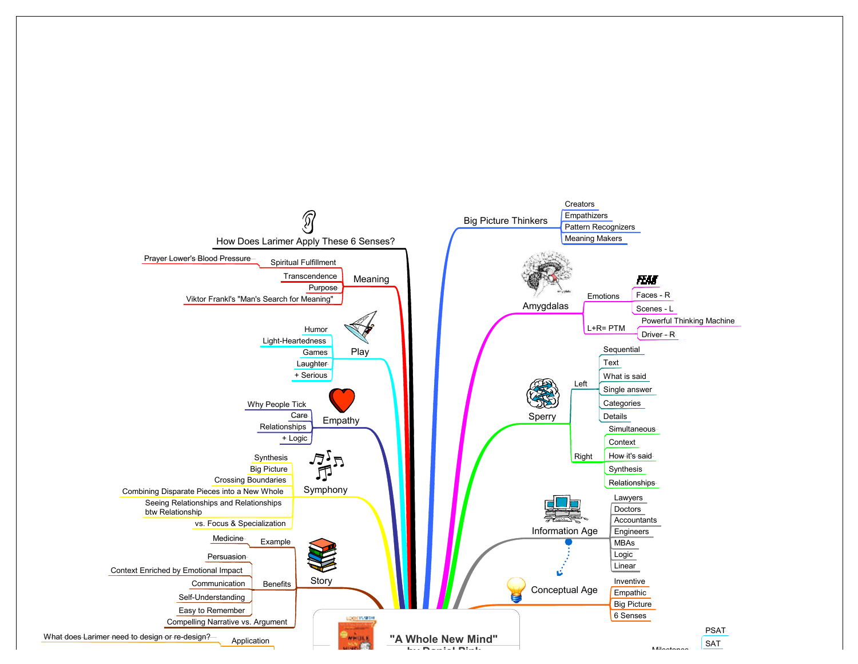